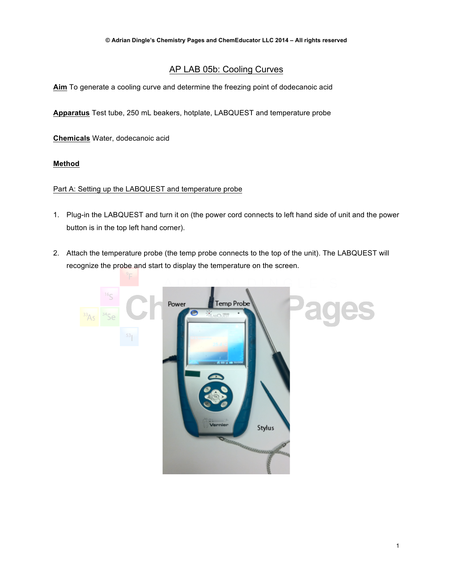# AP LAB 05b: Cooling Curves

**Aim** To generate a cooling curve and determine the freezing point of dodecanoic acid

**Apparatus** Test tube, 250 mL beakers, hotplate, LABQUEST and temperature probe

**Chemicals** Water, dodecanoic acid

### **Method**

#### Part A: Setting up the LABQUEST and temperature probe

- 1. Plug-in the LABQUEST and turn it on (the power cord connects to left hand side of unit and the power button is in the top left hand corner).
- 2. Attach the temperature probe (the temp probe connects to the top of the unit). The LABQUEST will recognize the probe and start to display the temperature on the screen.

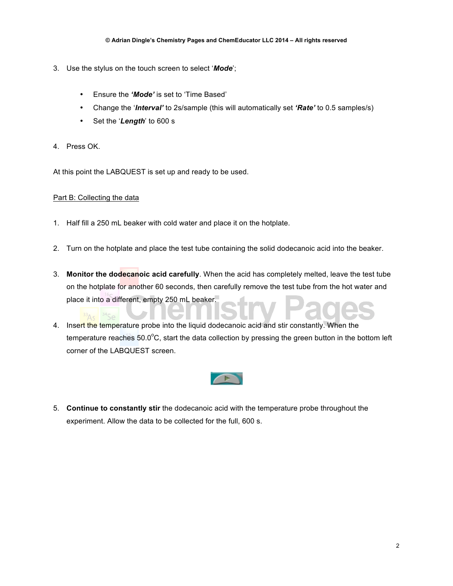- 3. Use the stylus on the touch screen to select '*Mode*';
	- Ensure the *'Mode'* is set to 'Time Based'
	- Change the '*Interval'* to 2s/sample (this will automatically set *'Rate'* to 0.5 samples/s)
	- Set the '*Length*' to 600 s
- 4. Press OK.

At this point the LABQUEST is set up and ready to be used.

#### Part B: Collecting the data

- 1. Half fill a 250 mL beaker with cold water and place it on the hotplate.
- 2. Turn on the hotplate and place the test tube containing the solid dodecanoic acid into the beaker.
- 3. **Monitor the dodecanoic acid carefully**. When the acid has completely melted, leave the test tube on the hotplate for another 60 seconds, then carefully remove the test tube from the hot water and place it into a different, empty 250 mL beaker.
- 4. Insert the temperature probe into the liquid dodecanoic acid and stir constantly. When the temperature reaches 50.0 $\degree$ C, start the data collection by pressing the green button in the bottom left corner of the LABQUEST screen.



5. **Continue to constantly stir** the dodecanoic acid with the temperature probe throughout the experiment. Allow the data to be collected for the full, 600 s.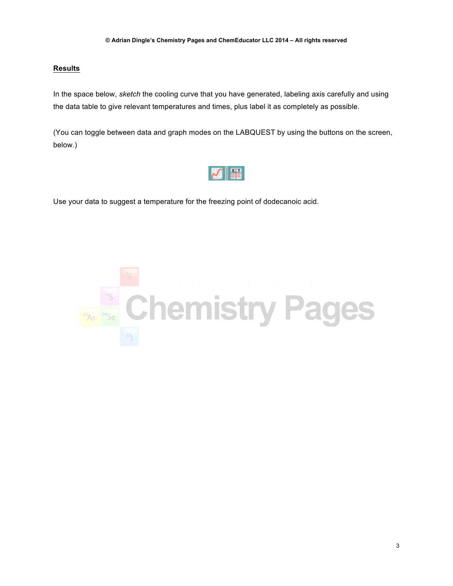## **Results**

In the space below, *sketch* the cooling curve that you have generated, labeling axis carefully and using the data table to give relevant temperatures and times, plus label it as completely as possible.

(You can toggle between data and graph modes on the LABQUEST by using the buttons on the screen, below.)



Use your data to suggest a temperature for the freezing point of dodecanoic acid.